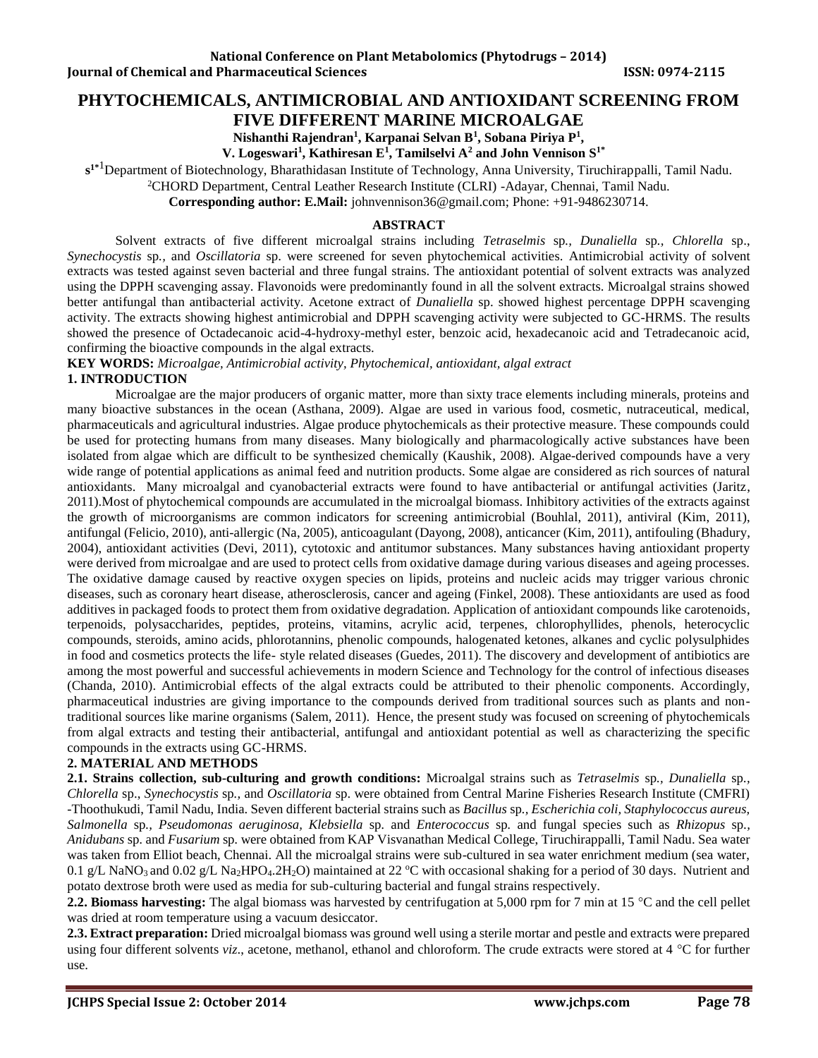# **PHYTOCHEMICALS, ANTIMICROBIAL AND ANTIOXIDANT SCREENING FROM**

**FIVE DIFFERENT MARINE MICROALGAE**

**Nishanthi Rajendran<sup>1</sup> , Karpanai Selvan B<sup>1</sup> , Sobana Piriya P<sup>1</sup> ,** 

 **V. Logeswari<sup>1</sup> , Kathiresan E<sup>1</sup> , Tamilselvi A<sup>2</sup> and John Vennison S1\***

**s 1\***1Department of Biotechnology, Bharathidasan Institute of Technology, Anna University, Tiruchirappalli, Tamil Nadu.

<sup>2</sup>CHORD Department, Central Leather Research Institute (CLRI) -Adayar, Chennai, Tamil Nadu.

**Corresponding author: E.Mail:** [johnvennison36@gmail.com;](mailto:johnvennison36@gmail.com) Phone: +91-9486230714.

#### **ABSTRACT**

Solvent extracts of five different microalgal strains including *Tetraselmis* sp*., Dunaliella* sp*., Chlorella* sp., *Synechocystis* sp*.,* and *Oscillatoria* sp. were screened for seven phytochemical activities. Antimicrobial activity of solvent extracts was tested against seven bacterial and three fungal strains. The antioxidant potential of solvent extracts was analyzed using the DPPH scavenging assay. Flavonoids were predominantly found in all the solvent extracts. Microalgal strains showed better antifungal than antibacterial activity. Acetone extract of *Dunaliella* sp. showed highest percentage DPPH scavenging activity. The extracts showing highest antimicrobial and DPPH scavenging activity were subjected to GC-HRMS. The results showed the presence of Octadecanoic acid-4-hydroxy-methyl ester, benzoic acid, hexadecanoic acid and Tetradecanoic acid, confirming the bioactive compounds in the algal extracts.

**KEY WORDS:** *Microalgae, Antimicrobial activity, Phytochemical, antioxidant, algal extract*

### **1. INTRODUCTION**

Microalgae are the major producers of organic matter, more than sixty trace elements including minerals, proteins and many bioactive substances in the ocean (Asthana, 2009). Algae are used in various food, cosmetic, nutraceutical, medical, pharmaceuticals and agricultural industries. Algae produce phytochemicals as their protective measure. These compounds could be used for protecting humans from many diseases. Many biologically and pharmacologically active substances have been isolated from algae which are difficult to be synthesized chemically (Kaushik, 2008). Algae-derived compounds have a very wide range of potential applications as animal feed and nutrition products. Some algae are considered as rich sources of natural antioxidants. Many microalgal and cyanobacterial extracts were found to have antibacterial or antifungal activities (Jaritz, 2011).Most of phytochemical compounds are accumulated in the microalgal biomass. Inhibitory activities of the extracts against the growth of microorganisms are common indicators for screening antimicrobial (Bouhlal, 2011), antiviral (Kim, 2011), antifungal (Felicio, 2010), anti-allergic (Na, 2005), anticoagulant (Dayong, 2008), anticancer (Kim, 2011), antifouling (Bhadury, 2004), antioxidant activities (Devi, 2011), cytotoxic and antitumor substances. Many substances having antioxidant property were derived from microalgae and are used to protect cells from oxidative damage during various diseases and ageing processes. The oxidative damage caused by reactive oxygen species on lipids, proteins and nucleic acids may trigger various chronic diseases, such as coronary heart disease, atherosclerosis, cancer and ageing (Finkel, 2008). These antioxidants are used as food additives in packaged foods to protect them from oxidative degradation. Application of antioxidant compounds like carotenoids, terpenoids, polysaccharides, peptides, proteins, vitamins, acrylic acid, terpenes, chlorophyllides, phenols, heterocyclic compounds, steroids, amino acids, phlorotannins, phenolic compounds, halogenated ketones, alkanes and cyclic polysulphides in food and cosmetics protects the life- style related diseases (Guedes, 2011). The discovery and development of antibiotics are among the most powerful and successful achievements in modern Science and Technology for the control of infectious diseases (Chanda, 2010). Antimicrobial effects of the algal extracts could be attributed to their phenolic components. Accordingly, pharmaceutical industries are giving importance to the compounds derived from traditional sources such as plants and nontraditional sources like marine organisms (Salem, 2011). Hence, the present study was focused on screening of phytochemicals from algal extracts and testing their antibacterial, antifungal and antioxidant potential as well as characterizing the specific compounds in the extracts using GC-HRMS.

# **2. MATERIAL AND METHODS**

**2.1. Strains collection, sub-culturing and growth conditions:** Microalgal strains such as *Tetraselmis* sp*., Dunaliella* sp*., Chlorella* sp., *Synechocystis* sp*.,* and *Oscillatoria* sp. were obtained from Central Marine Fisheries Research Institute (CMFRI) -Thoothukudi, Tamil Nadu, India. Seven different bacterial strains such as *Bacillus* sp*., Escherichia coli, Staphylococcus aureus, Salmonella* sp*., Pseudomonas aeruginosa, Klebsiella* sp*.* and *Enterococcus* sp*.* and fungal species such as *Rhizopus* sp*., Anidubans* sp*.* and *Fusarium* sp*.* were obtained from KAP Visvanathan Medical College, Tiruchirappalli, Tamil Nadu. Sea water was taken from Elliot beach, Chennai. All the microalgal strains were sub-cultured in sea water enrichment medium (sea water, 0.1 g/L NaNO<sub>3</sub> and 0.02 g/L Na<sub>2</sub>HPO<sub>4</sub>.2H<sub>2</sub>O) maintained at 22 °C with occasional shaking for a period of 30 days. Nutrient and potato dextrose broth were used as media for sub-culturing bacterial and fungal strains respectively.

**2.2. Biomass harvesting:** The algal biomass was harvested by centrifugation at 5,000 rpm for 7 min at 15 °C and the cell pellet was dried at room temperature using a vacuum desiccator.

**2.3. Extract preparation:** Dried microalgal biomass was ground well using a sterile mortar and pestle and extracts were prepared using four different solvents *viz.*, acetone, methanol, ethanol and chloroform. The crude extracts were stored at 4 °C for further use.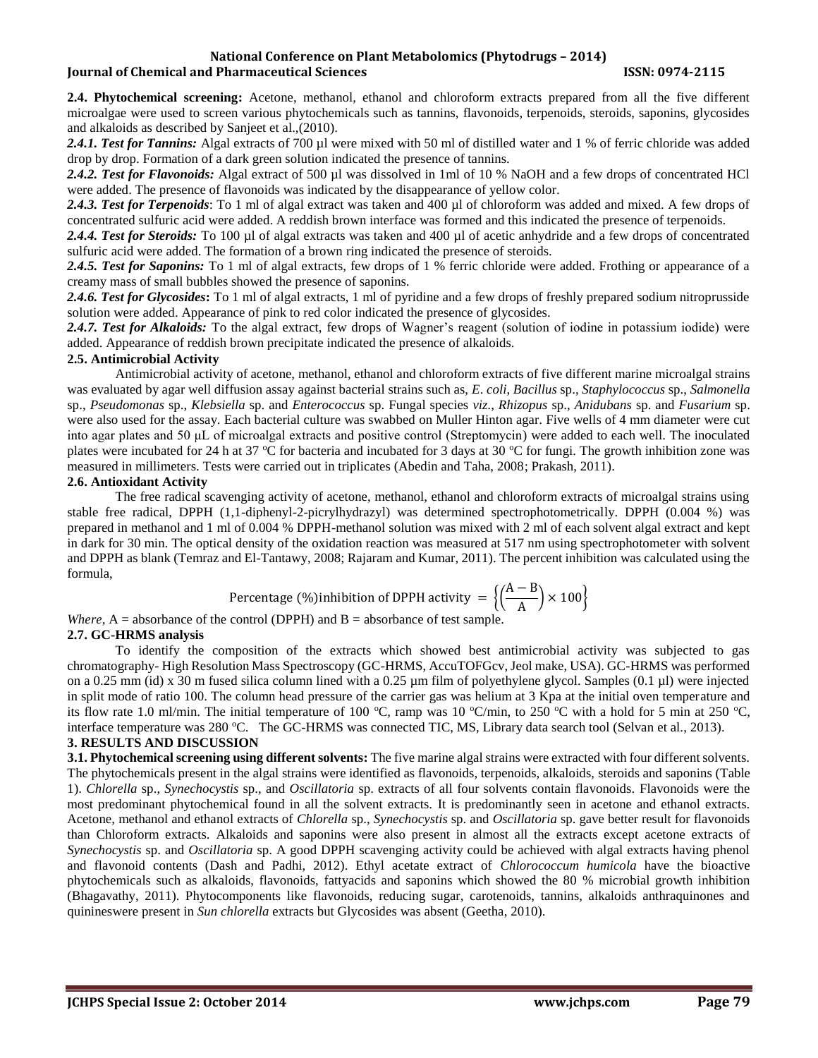#### **National Conference on Plant Metabolomics (Phytodrugs – 2014) Iournal of Chemical and Pharmaceutical Sciences ISSN: 0974-2115**

**2.4. Phytochemical screening:** Acetone, methanol, ethanol and chloroform extracts prepared from all the five different microalgae were used to screen various phytochemicals such as tannins, flavonoids, terpenoids, steroids, saponins, glycosides and alkaloids as described by Sanjeet et al.,(2010)*.*

2.4.1. Test for Tannins: Algal extracts of 700 µl were mixed with 50 ml of distilled water and 1 % of ferric chloride was added drop by drop. Formation of a dark green solution indicated the presence of tannins.

2.4.2. Test for Flavonoids: Algal extract of 500 µl was dissolved in 1ml of 10 % NaOH and a few drops of concentrated HCl were added. The presence of flavonoids was indicated by the disappearance of yellow color.

*2.4.3. Test for Terpenoids*: To 1 ml of algal extract was taken and 400 µl of chloroform was added and mixed. A few drops of concentrated sulfuric acid were added. A reddish brown interface was formed and this indicated the presence of terpenoids.

*2.4.4. Test for Steroids:* To 100 µl of algal extracts was taken and 400 µl of acetic anhydride and a few drops of concentrated sulfuric acid were added. The formation of a brown ring indicated the presence of steroids.

*2.4.5. Test for Saponins:* To 1 ml of algal extracts, few drops of 1 % ferric chloride were added. Frothing or appearance of a creamy mass of small bubbles showed the presence of saponins.

*2.4.6. Test for Glycosides***:** To 1 ml of algal extracts, 1 ml of pyridine and a few drops of freshly prepared sodium nitroprusside solution were added. Appearance of pink to red color indicated the presence of glycosides.

*2.4.7. Test for Alkaloids:* To the algal extract, few drops of Wagner's reagent (solution of iodine in potassium iodide) were added. Appearance of reddish brown precipitate indicated the presence of alkaloids.

#### **2.5. Antimicrobial Activity**

Antimicrobial activity of acetone, methanol, ethanol and chloroform extracts of five different marine microalgal strains was evaluated by agar well diffusion assay against bacterial strains such as, *E*. *coli*, *Bacillus* sp., *Staphylococcus* sp., *Salmonella* sp., *Pseudomonas* sp., *Klebsiella* sp. and *Enterococcus* sp. Fungal species *viz*., *Rhizopus* sp., *Anidubans* sp. and *Fusarium* sp. were also used for the assay. Each bacterial culture was swabbed on Muller Hinton agar. Five wells of 4 mm diameter were cut into agar plates and 50 μL of microalgal extracts and positive control (Streptomycin) were added to each well. The inoculated plates were incubated for 24 h at 37 °C for bacteria and incubated for 3 days at 30 °C for fungi. The growth inhibition zone was measured in millimeters. Tests were carried out in triplicates (Abedin and Taha, 2008; Prakash, 2011).

#### **2.6. Antioxidant Activity**

The free radical scavenging activity of acetone, methanol, ethanol and chloroform extracts of microalgal strains using stable free radical, DPPH (1,1-diphenyl-2-picrylhydrazyl) was determined spectrophotometrically. DPPH (0.004 %) was prepared in methanol and 1 ml of 0.004 % DPPH-methanol solution was mixed with 2 ml of each solvent algal extract and kept in dark for 30 min. The optical density of the oxidation reaction was measured at 517 nm using spectrophotometer with solvent and DPPH as blank (Temraz and El-Tantawy, 2008; Rajaram and Kumar, 2011). The percent inhibition was calculated using the formula,

Percentage (%)inhibition of DPPH activity = 
$$
\left\{ \left( \frac{A-B}{A} \right) \times 100 \right\}
$$

*Where*,  $A =$  absorbance of the control (DPPH) and  $B =$  absorbance of test sample.

# **2.7. GC-HRMS analysis**

To identify the composition of the extracts which showed best antimicrobial activity was subjected to gas chromatography- High Resolution Mass Spectroscopy (GC-HRMS, AccuTOFGcv, Jeol make, USA). GC-HRMS was performed on a 0.25 mm (id) x 30 m fused silica column lined with a 0.25  $\mu$ m film of polyethylene glycol. Samples (0.1  $\mu$ ) were injected in split mode of ratio 100. The column head pressure of the carrier gas was helium at 3 Kpa at the initial oven temperature and its flow rate 1.0 ml/min. The initial temperature of 100 °C, ramp was 10 °C/min, to 250 °C with a hold for 5 min at 250 °C, interface temperature was 280 °C. The GC-HRMS was connected TIC, MS, Library data search tool (Selvan et al., 2013).

#### **3. RESULTS AND DISCUSSION**

**3.1. Phytochemical screening using different solvents:** The five marine algal strains were extracted with four different solvents. The phytochemicals present in the algal strains were identified as flavonoids, terpenoids, alkaloids, steroids and saponins (Table 1). *Chlorella* sp., *Synechocystis* sp., and *Oscillatoria* sp. extracts of all four solvents contain flavonoids. Flavonoids were the most predominant phytochemical found in all the solvent extracts. It is predominantly seen in acetone and ethanol extracts. Acetone, methanol and ethanol extracts of *Chlorella* sp., *Synechocystis* sp. and *Oscillatoria* sp. gave better result for flavonoids than Chloroform extracts. Alkaloids and saponins were also present in almost all the extracts except acetone extracts of *Synechocystis* sp. and *Oscillatoria* sp. A good DPPH scavenging activity could be achieved with algal extracts having phenol and flavonoid contents (Dash and Padhi, 2012). Ethyl acetate extract of *Chlorococcum humicola* have the bioactive phytochemicals such as alkaloids, flavonoids, fattyacids and saponins which showed the 80 % microbial growth inhibition (Bhagavathy, 2011). Phytocomponents like flavonoids, reducing sugar, carotenoids, tannins, alkaloids anthraquinones and quinineswere present in *Sun chlorella* extracts but Glycosides was absent (Geetha, 2010).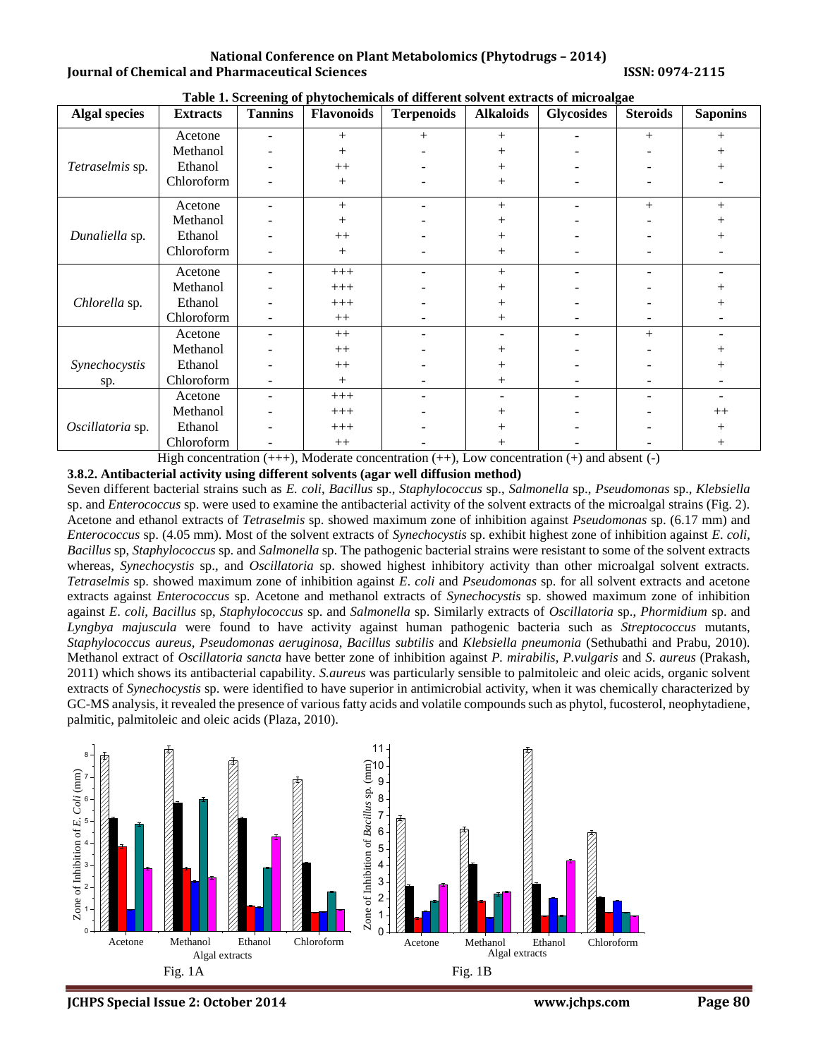**National Conference on Plant Metabolomics (Phytodrugs – 2014) Iournal of Chemical and Pharmaceutical Sciences ISSN: 0974-2115** 

| <b>Algal species</b> | <b>Extracts</b> | <b>Tannins</b>           | Flavonoids | <b>Terpenoids</b> | <b>Alkaloids</b> | <b>Glycosides</b> | <b>Steroids</b> | <b>Saponins</b> |
|----------------------|-----------------|--------------------------|------------|-------------------|------------------|-------------------|-----------------|-----------------|
|                      | Acetone         |                          | $^{+}$     | $^{+}$            | $^{+}$           |                   | $+$             | $+$             |
| Tetraselmis sp.      | Methanol        |                          | $^{+}$     |                   | $^{+}$           |                   |                 | $^{+}$          |
|                      | Ethanol         |                          | $++$       |                   | $+$              |                   |                 | $\overline{+}$  |
|                      | Chloroform      |                          | $^{+}$     |                   | $^{+}$           |                   |                 |                 |
|                      | Acetone         |                          | $+$        |                   | $+$              |                   | $^{+}$          | $+$             |
| Dunaliella sp.       | Methanol        |                          | $^{+}$     |                   | $^{+}$           |                   |                 | $^{+}$          |
|                      | Ethanol         |                          | $^{++}$    |                   | $^{+}$           |                   |                 | $^{+}$          |
|                      | Chloroform      |                          | $^{+}$     |                   | $^{+}$           |                   |                 |                 |
|                      | Acetone         |                          | $+++$      |                   | $+$              |                   |                 |                 |
| Chlorella sp.        | Methanol        |                          | $+++$      |                   | $^+$             |                   |                 | $\overline{+}$  |
|                      | Ethanol         |                          | $+++$      |                   | $^{+}$           |                   |                 | $+$             |
|                      | Chloroform      |                          | $++$       |                   | $^{+}$           |                   |                 |                 |
|                      | Acetone         | $\overline{\phantom{m}}$ | $++$       |                   |                  |                   | $^{+}$          |                 |
|                      | Methanol        |                          | $++$       |                   | $^{+}$           |                   |                 |                 |
| Synechocystis        | Ethanol         |                          | $++$       |                   | $^{+}$           |                   |                 | $\, +$          |
| sp.                  | Chloroform      |                          | $^{+}$     |                   | $^{+}$           |                   |                 |                 |
|                      | Acetone         | $\overline{\phantom{m}}$ | $+++$      |                   |                  |                   |                 |                 |
|                      | Methanol        |                          | $+++$      |                   | $^{+}$           |                   |                 | $++$            |
| Oscillatoria sp.     | Ethanol         |                          | $+++$      |                   |                  |                   |                 | $^{+}$          |
|                      | Chloroform      |                          | $++$       |                   | $^{+}$           |                   |                 | $^{+}$          |

**Table 1. Screening of phytochemicals of different solvent extracts of microalgae**

High concentration  $(++)$ , Moderate concentration  $(+)$ , Low concentration  $(+)$  and absent  $(-)$ 

**3.8.2. Antibacterial activity using different solvents (agar well diffusion method)**

Seven different bacterial strains such as *E. coli*, *Bacillus* sp., *Staphylococcus* sp., *Salmonella* sp., *Pseudomonas* sp., *Klebsiella* sp. and *Enterococcus* sp. were used to examine the antibacterial activity of the solvent extracts of the microalgal strains (Fig. 2). Acetone and ethanol extracts of *Tetraselmis* sp. showed maximum zone of inhibition against *Pseudomonas* sp. (6.17 mm) and *Enterococcus* sp. (4.05 mm). Most of the solvent extracts of *Synechocystis* sp. exhibit highest zone of inhibition against *E*. *coli*, *Bacillus* sp, *Staphylococcus* sp. and *Salmonella* sp. The pathogenic bacterial strains were resistant to some of the solvent extracts whereas, *Synechocystis* sp., and *Oscillatoria* sp. showed highest inhibitory activity than other microalgal solvent extracts. *Tetraselmis* sp. showed maximum zone of inhibition against *E*. *coli* and *Pseudomonas* sp. for all solvent extracts and acetone extracts against *Enterococcus* sp. Acetone and methanol extracts of *Synechocystis* sp. showed maximum zone of inhibition against *E*. *coli*, *Bacillus* sp, *Staphylococcus* sp. and *Salmonella* sp. Similarly extracts of *Oscillatoria* sp., *Phormidium* sp. and *Lyngbya majuscula* were found to have activity against human pathogenic bacteria such as *Streptococcus* mutants, *Staphylococcus aureus*, *Pseudomonas aeruginosa*, *Bacillus subtilis* and *Klebsiella pneumonia* (Sethubathi and Prabu, 2010). Methanol extract of *Oscillatoria sancta* have better zone of inhibition against *P. mirabilis*, *P.vulgaris* and *S*. *aureus* (Prakash, 2011) which shows its antibacterial capability. *S.aureus* was particularly sensible to palmitoleic and oleic acids, organic solvent extracts of *Synechocystis* sp. were identified to have superior in antimicrobial activity, when it was chemically characterized by GC-MS analysis, it revealed the presence of various fatty acids and volatile compounds such as phytol, fucosterol, neophytadiene, palmitic, palmitoleic and oleic acids (Plaza, 2010).



**JCHPS Special Issue 2: October 2014 [www.jchps.com](http://www.jchps.com/) Page 80**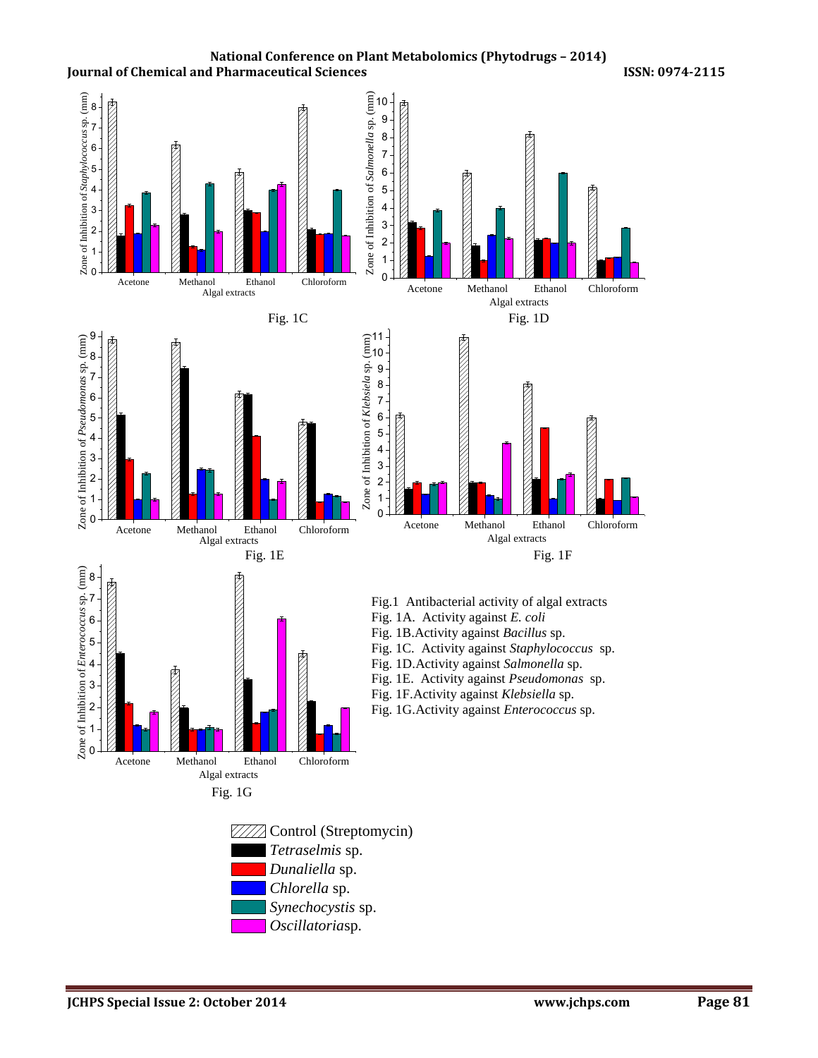



11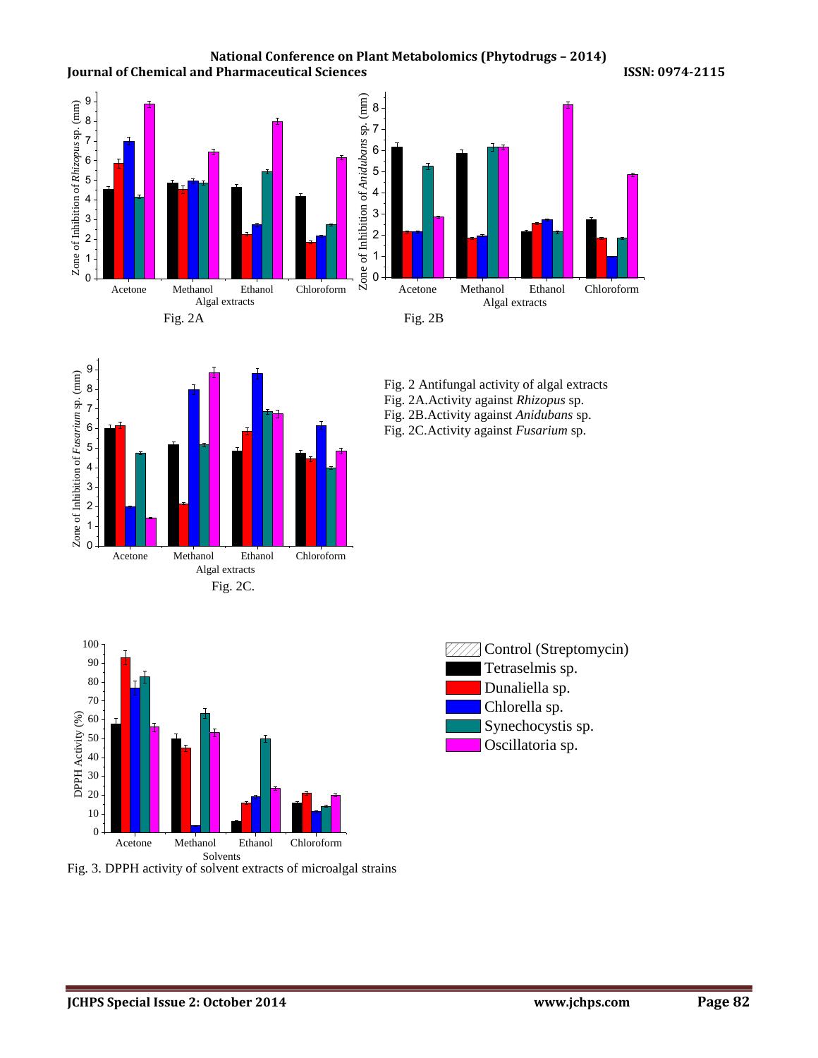**National Conference on Plant Metabolomics (Phytodrugs – 2014) Journal of Chemical and Pharmaceutical Sciences 19974-2015 ISSN: 0974-2115** 





Fig. 2 Antifungal activity of algal extracts Fig. 2A.Activity against *Rhizopus* sp. Fig. 2B.Activity against *Anidubans* sp. Fig. 2C.Activity against *Fusarium* sp.



Fig. 3. DPPH activity of solvent extracts of microalgal strains

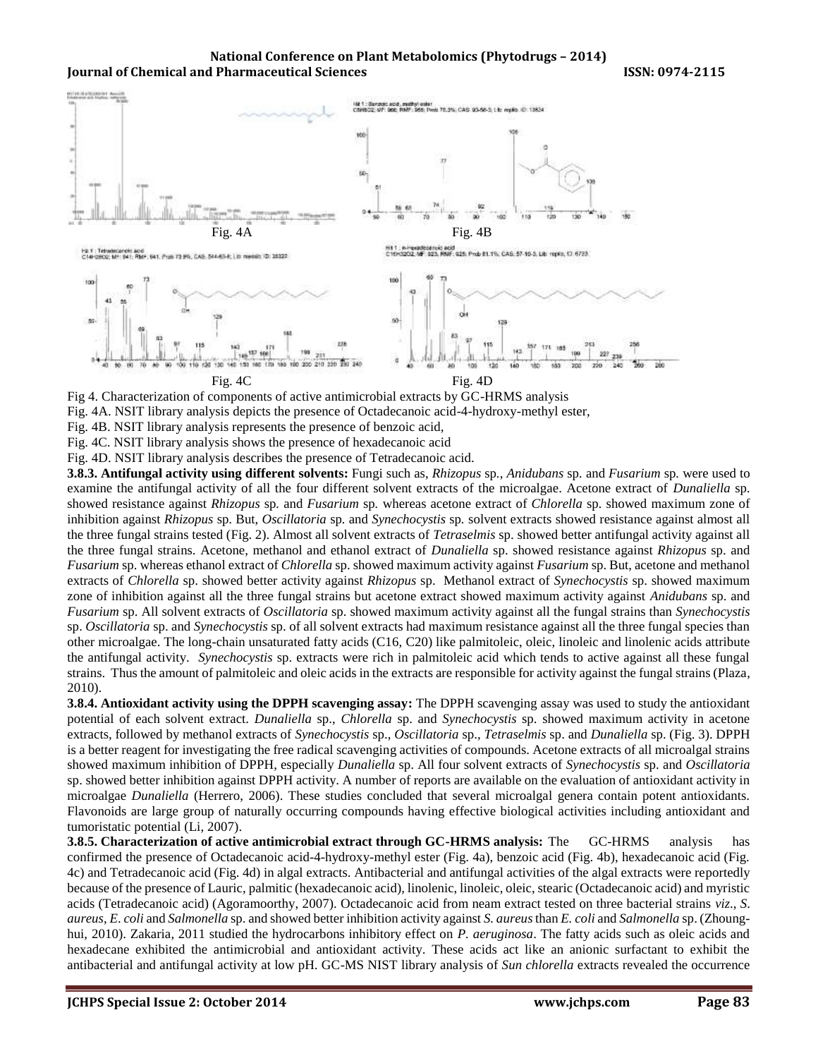

Fig 4. Characterization of components of active antimicrobial extracts by GC-HRMS analysis

Fig. 4A. NSIT library analysis depicts the presence of Octadecanoic acid-4-hydroxy-methyl ester,

Fig. 4B. NSIT library analysis represents the presence of benzoic acid,

Fig. 4C. NSIT library analysis shows the presence of hexadecanoic acid

Fig. 4D. NSIT library analysis describes the presence of Tetradecanoic acid.

**3.8.3. Antifungal activity using different solvents:** Fungi such as, *Rhizopus* sp*.*, *Anidubans* sp*.* and *Fusarium* sp*.* were used to examine the antifungal activity of all the four different solvent extracts of the microalgae. Acetone extract of *Dunaliella* sp*.* showed resistance against *Rhizopus* sp*.* and *Fusarium* sp*.* whereas acetone extract of *Chlorella* sp*.* showed maximum zone of inhibition against *Rhizopus* sp. But, *Oscillatoria* sp*.* and *Synechocystis* sp*.* solvent extracts showed resistance against almost all the three fungal strains tested (Fig. 2). Almost all solvent extracts of *Tetraselmis* sp. showed better antifungal activity against all the three fungal strains. Acetone, methanol and ethanol extract of *Dunaliella* sp. showed resistance against *Rhizopus* sp. and *Fusarium* sp. whereas ethanol extract of *Chlorella* sp. showed maximum activity against *Fusarium* sp. But, acetone and methanol extracts of *Chlorella* sp. showed better activity against *Rhizopus* sp. Methanol extract of *Synechocystis* sp. showed maximum zone of inhibition against all the three fungal strains but acetone extract showed maximum activity against *Anidubans* sp. and *Fusarium* sp. All solvent extracts of *Oscillatoria* sp. showed maximum activity against all the fungal strains than *Synechocystis* sp. *Oscillatoria* sp. and *Synechocystis* sp. of all solvent extracts had maximum resistance against all the three fungal species than other microalgae. The long-chain unsaturated fatty acids (C16, C20) like palmitoleic, oleic, linoleic and linolenic acids attribute the antifungal activity. *Synechocystis* sp. extracts were rich in palmitoleic acid which tends to active against all these fungal strains. Thus the amount of palmitoleic and oleic acids in the extracts are responsible for activity against the fungal strains (Plaza, 2010).

**3.8.4. Antioxidant activity using the DPPH scavenging assay:** The DPPH scavenging assay was used to study the antioxidant potential of each solvent extract. *Dunaliella* sp., *Chlorella* sp. and *Synechocystis* sp. showed maximum activity in acetone extracts, followed by methanol extracts of *Synechocystis* sp., *Oscillatoria* sp., *Tetraselmis* sp. and *Dunaliella* sp. (Fig. 3). DPPH is a better reagent for investigating the free radical scavenging activities of compounds. Acetone extracts of all microalgal strains showed maximum inhibition of DPPH, especially *Dunaliella* sp. All four solvent extracts of *Synechocystis* sp. and *Oscillatoria* sp. showed better inhibition against DPPH activity. A number of reports are available on the evaluation of antioxidant activity in microalgae *Dunaliella* (Herrero, 2006). These studies concluded that several microalgal genera contain potent antioxidants. Flavonoids are large group of naturally occurring compounds having effective biological activities including antioxidant and tumoristatic potential (Li, 2007).

**3.8.5. Characterization of active antimicrobial extract through GC-HRMS analysis:** The GC-HRMS analysis has confirmed the presence of Octadecanoic acid-4-hydroxy-methyl ester (Fig. 4a), benzoic acid (Fig. 4b), hexadecanoic acid (Fig. 4c) and Tetradecanoic acid (Fig. 4d) in algal extracts. Antibacterial and antifungal activities of the algal extracts were reportedly because of the presence of Lauric, palmitic (hexadecanoic acid), linolenic, linoleic, oleic, stearic (Octadecanoic acid) and myristic acids (Tetradecanoic acid) (Agoramoorthy, 2007). Octadecanoic acid from neam extract tested on three bacterial strains *viz*., *S*. *aureus*, *E*. *coli* and *Salmonella* sp. and showed better inhibition activity against *S. aureus*than *E. coli* and *Salmonella* sp. (Zhounghui, 2010). Zakaria, 2011 studied the hydrocarbons inhibitory effect on *P. aeruginosa*. The fatty acids such as oleic acids and hexadecane exhibited the antimicrobial and antioxidant activity. These acids act like an anionic surfactant to exhibit the antibacterial and antifungal activity at low pH. GC-MS NIST library analysis of *Sun chlorella* extracts revealed the occurrence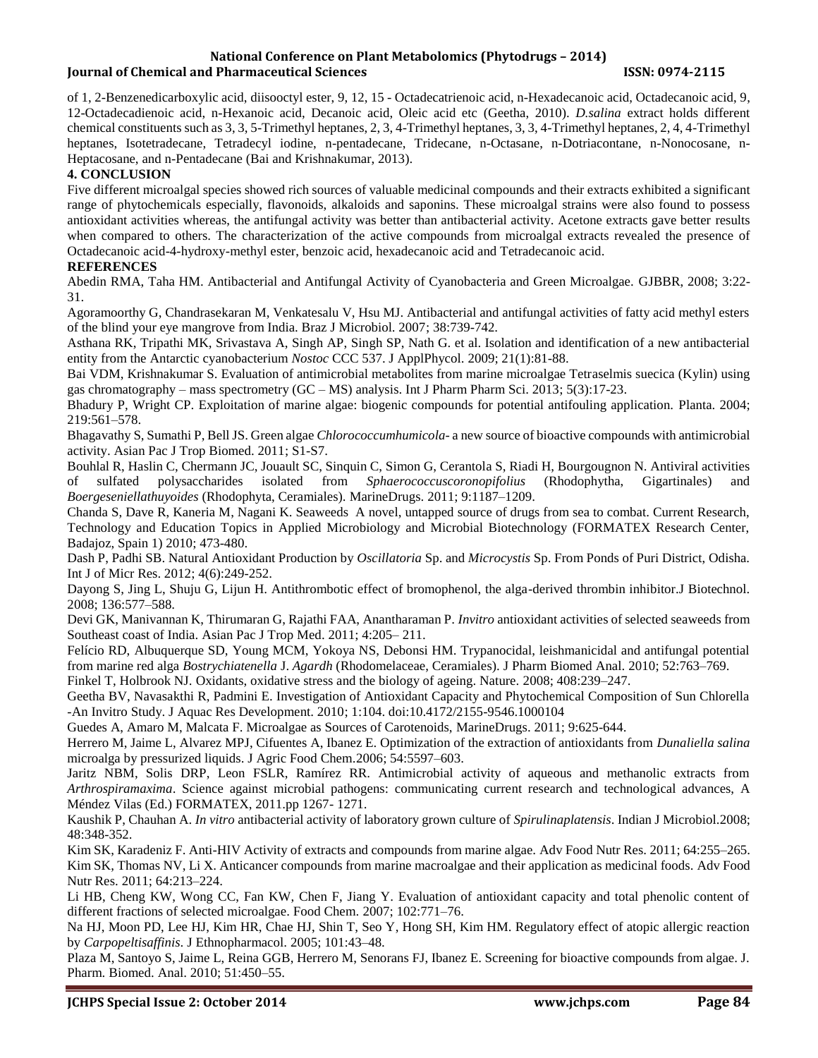#### **National Conference on Plant Metabolomics (Phytodrugs – 2014) Iournal of Chemical and Pharmaceutical Sciences ISSN: 0974-2115**

of 1, 2-Benzenedicarboxylic acid, diisooctyl ester, 9, 12, 15 - Octadecatrienoic acid, n-Hexadecanoic acid, Octadecanoic acid, 9, 12-Octadecadienoic acid, n-Hexanoic acid, Decanoic acid, Oleic acid etc (Geetha, 2010). *D.salina* extract holds different chemical constituents such as 3, 3, 5-Trimethyl heptanes, 2, 3, 4-Trimethyl heptanes, 3, 3, 4-Trimethyl heptanes, 2, 4, 4-Trimethyl heptanes, Isotetradecane, Tetradecyl iodine, n-pentadecane, Tridecane, n-Octasane, n-Dotriacontane, n-Nonocosane, n-Heptacosane, and n-Pentadecane (Bai and Krishnakumar, 2013).

#### **4. CONCLUSION**

Five different microalgal species showed rich sources of valuable medicinal compounds and their extracts exhibited a significant range of phytochemicals especially, flavonoids, alkaloids and saponins. These microalgal strains were also found to possess antioxidant activities whereas, the antifungal activity was better than antibacterial activity. Acetone extracts gave better results when compared to others. The characterization of the active compounds from microalgal extracts revealed the presence of Octadecanoic acid-4-hydroxy-methyl ester, benzoic acid, hexadecanoic acid and Tetradecanoic acid.

#### **REFERENCES**

Abedin RMA, Taha HM. Antibacterial and Antifungal Activity of Cyanobacteria and Green Microalgae. GJBBR, 2008; 3:22- 31.

Agoramoorthy G, Chandrasekaran M, Venkatesalu V, Hsu MJ. Antibacterial and antifungal activities of fatty acid methyl esters of the blind your eye mangrove from India. Braz J Microbiol. 2007; 38:739-742.

Asthana RK, Tripathi MK, Srivastava A, Singh AP, Singh SP, Nath G. et al. Isolation and identification of a new antibacterial entity from the Antarctic cyanobacterium *Nostoc* CCC 537. J ApplPhycol. 2009; 21(1):81-88.

Bai VDM, Krishnakumar S. Evaluation of antimicrobial metabolites from marine microalgae Tetraselmis suecica (Kylin) using gas chromatography – mass spectrometry (GC – MS) analysis. Int J Pharm Pharm Sci. 2013; 5(3):17-23.

Bhadury P, Wright CP. Exploitation of marine algae: biogenic compounds for potential antifouling application. Planta. 2004; 219:561–578.

Bhagavathy S, Sumathi P, Bell JS. Green algae *Chlorococcumhumicola*- a new source of bioactive compounds with antimicrobial activity. Asian Pac J Trop Biomed. 2011; S1-S7.

Bouhlal R, Haslin C, Chermann JC, Jouault SC, Sinquin C, Simon G, Cerantola S, Riadi H, Bourgougnon N. Antiviral activities of sulfated polysaccharides isolated from *Sphaerococcuscoronopifolius* (Rhodophytha, Gigartinales) and *Boergeseniellathuyoides* (Rhodophyta, Ceramiales). MarineDrugs. 2011; 9:1187–1209.

Chanda S, Dave R, Kaneria M, Nagani K. Seaweeds A novel, untapped source of drugs from sea to combat. Current Research, Technology and Education Topics in Applied Microbiology and Microbial Biotechnology (FORMATEX Research Center, Badajoz, Spain 1) 2010; 473-480.

Dash P, Padhi SB. Natural Antioxidant Production by *Oscillatoria* Sp. and *Microcystis* Sp. From Ponds of Puri District, Odisha. Int J of Micr Res. 2012; 4(6):249-252.

Dayong S, Jing L, Shuju G, Lijun H. Antithrombotic effect of bromophenol, the alga-derived thrombin inhibitor.J Biotechnol. 2008; 136:577–588.

Devi GK, Manivannan K, Thirumaran G, Rajathi FAA, Anantharaman P. *Invitro* antioxidant activities of selected seaweeds from Southeast coast of India. Asian Pac J Trop Med. 2011; 4:205– 211.

Felício RD, Albuquerque SD, Young MCM, Yokoya NS, Debonsi HM. Trypanocidal, leishmanicidal and antifungal potential from marine red alga *Bostrychiatenella* J. *Agardh* (Rhodomelaceae, Ceramiales). J Pharm Biomed Anal. 2010; 52:763–769.

Finkel T, Holbrook NJ. Oxidants, oxidative stress and the biology of ageing. Nature. 2008; 408:239–247.

Geetha BV, Navasakthi R, Padmini E. Investigation of Antioxidant Capacity and Phytochemical Composition of Sun Chlorella -An Invitro Study. J Aquac Res Development. 2010; 1:104. doi:10.4172/2155-9546.1000104

Guedes A, Amaro M, Malcata F. Microalgae as Sources of Carotenoids, MarineDrugs. 2011; 9:625-644.

Herrero M, Jaime L, Alvarez MPJ, Cifuentes A, Ibanez E. Optimization of the extraction of antioxidants from *Dunaliella salina* microalga by pressurized liquids. J Agric Food Chem.2006; 54:5597–603.

Jaritz NBM, Solis DRP, Leon FSLR, Ramírez RR. Antimicrobial activity of aqueous and methanolic extracts from *Arthrospiramaxima*. Science against microbial pathogens: communicating current research and technological advances, A Méndez Vilas (Ed.) FORMATEX, 2011.pp 1267- 1271.

Kaushik P, Chauhan A. *In vitro* antibacterial activity of laboratory grown culture of *Spirulinaplatensis*. Indian J Microbiol.2008; 48:348-352.

Kim SK, Karadeniz F. Anti-HIV Activity of extracts and compounds from marine algae. Adv Food Nutr Res. 2011; 64:255–265. Kim SK, Thomas NV, Li X. Anticancer compounds from marine macroalgae and their application as medicinal foods. Adv Food Nutr Res. 2011; 64:213–224.

Li HB, Cheng KW, Wong CC, Fan KW, Chen F, Jiang Y. Evaluation of antioxidant capacity and total phenolic content of different fractions of selected microalgae. Food Chem. 2007; 102:771–76.

Na HJ, Moon PD, Lee HJ, Kim HR, Chae HJ, Shin T, Seo Y, Hong SH, Kim HM. Regulatory effect of atopic allergic reaction by *Carpopeltisaffinis*. J Ethnopharmacol. 2005; 101:43–48.

Plaza M, Santoyo S, Jaime L, Reina GGB, Herrero M, Senorans FJ, Ibanez E. Screening for bioactive compounds from algae. J. Pharm. Biomed. Anal. 2010; 51:450–55.